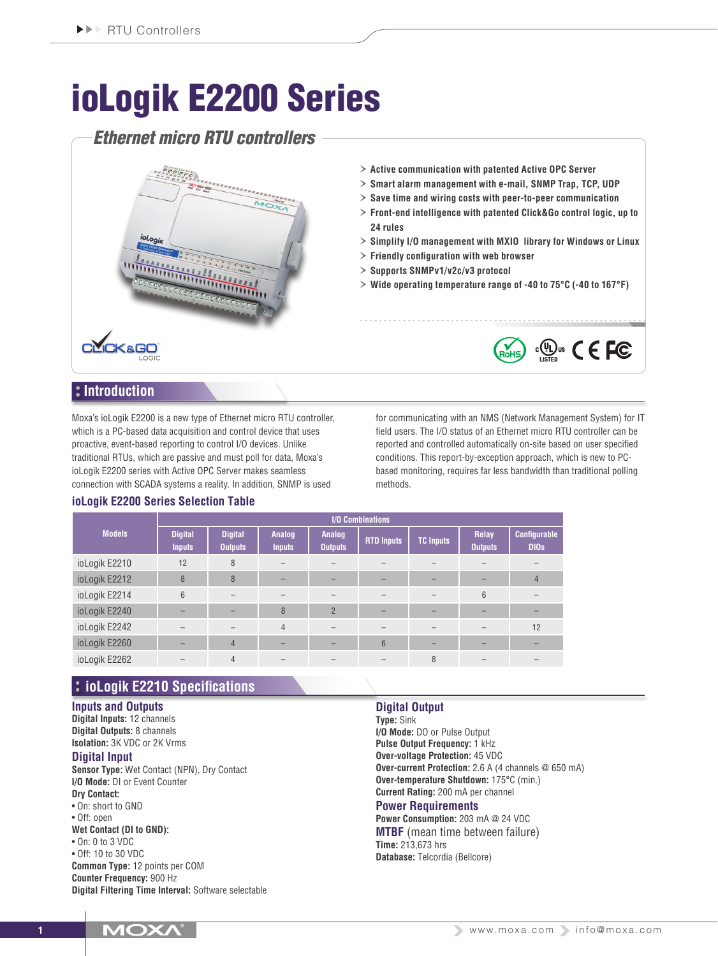# ioLogik E2200 Series

## *Ethernet micro RTU controllers*



- › **Active communication with patented Active OPC Server**
- › **Smart alarm management with e-mail, SNMP Trap, TCP, UDP**
- › **Save time and wiring costs with peer-to-peer communication**
- › **Front-end intelligence with patented Click&Go control logic, up to 24 rules**
- › **Simplify I/O management with MXIO library for Windows or Linux**
- › **Friendly configuration with web browser**
- › **Supports SNMPv1/v2c/v3 protocol**
- › **Wide operating temperature range of -40 to 75°C (-40 to 167°F)**

## **Introduction**

Moxa's ioLogik E2200 is a new type of Ethernet micro RTU controller, which is a PC-based data acquisition and control device that uses proactive, event-based reporting to control I/O devices. Unlike traditional RTUs, which are passive and must poll for data, Moxa's ioLogik E2200 series with Active OPC Server makes seamless connection with SCADA systems a reality. In addition, SNMP is used

**ioLogik E2200 Series Selection Table**

for communicating with an NMS (Network Management System) for IT field users. The I/O status of an Ethernet micro RTU controller can be reported and controlled automatically on-site based on user specified conditions. This report-by-exception approach, which is new to PCbased monitoring, requires far less bandwidth than traditional polling methods.

 $\frac{1}{2}$  (O) us  $C \in FC$ 

| <b>Models</b> | <b>I/O Combinations</b>         |                                  |                         |                          |                   |           |                         |                             |
|---------------|---------------------------------|----------------------------------|-------------------------|--------------------------|-------------------|-----------|-------------------------|-----------------------------|
|               | <b>Digital</b><br><b>Inputs</b> | <b>Digital</b><br><b>Outputs</b> | Analog<br><b>Inputs</b> | Analog<br><b>Outputs</b> | <b>RTD Inputs</b> | TC Inputs | Relay<br><b>Outputs</b> | Configurable<br><b>DIOs</b> |
| ioLogik E2210 | 12                              | 8                                |                         |                          |                   |           |                         |                             |
| ioLogik E2212 | 8                               | 8                                |                         |                          |                   |           |                         | 4                           |
| ioLogik E2214 | 6                               |                                  |                         |                          |                   |           | 6                       |                             |
| ioLogik E2240 |                                 |                                  | 8                       | $\overline{2}$           |                   |           |                         |                             |
| ioLogik E2242 |                                 |                                  | $\overline{4}$          |                          |                   |           |                         | 12                          |
| ioLogik E2260 |                                 | $\overline{4}$                   |                         |                          | 6                 |           |                         |                             |
| ioLogik E2262 |                                 | $\overline{4}$                   |                         |                          |                   | 8         |                         |                             |

## **ioLogik E2210 Specifications**

## **Inputs and Outputs**

**Digital Inputs:** 12 channels **Digital Outputs:** 8 channels **Isolation:** 3K VDC or 2K Vrms

## **Digital Input**

**Sensor Type:** Wet Contact (NPN), Dry Contact **I/O Mode:** DI or Event Counter **Dry Contact:** • On: short to GND • Off: open **Wet Contact (DI to GND):** • On: 0 to 3 VDC • Off: 10 to 30 VDC **Common Type:** 12 points per COM **Counter Frequency:** 900 Hz

**Digital Filtering Time Interval:** Software selectable

## **Digital Output**

**Type:** Sink **I/O Mode:** DO or Pulse Output **Pulse Output Frequency:** 1 kHz **Over-voltage Protection:** 45 VDC **Over-current Protection:** 2.6 A (4 channels @ 650 mA) **Over-temperature Shutdown:** 175°C (min.) **Current Rating:** 200 mA per channel

### **Power Requirements**

**Power Consumption:** 203 mA @ 24 VDC **MTBF** (mean time between failure) **Time:** 213,673 hrs **Database:** Telcordia (Bellcore)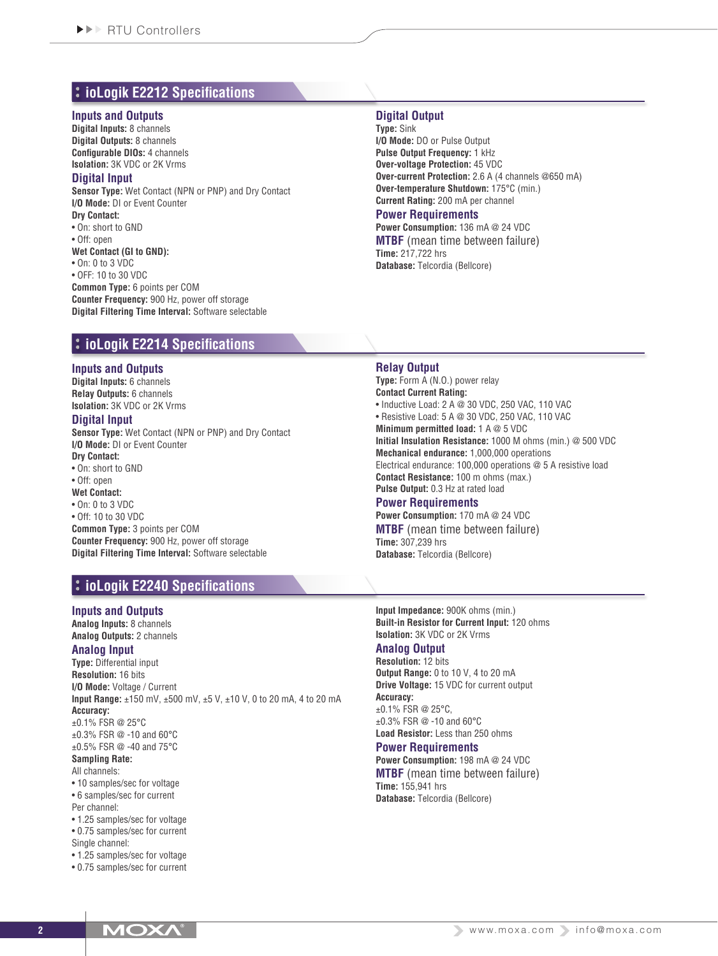## **ioLogik E2212 Specifications**

#### **Inputs and Outputs**

**Digital Inputs:** 8 channels **Digital Outputs:** 8 channels **Configurable DIOs:** 4 channels **Isolation:** 3K VDC or 2K Vrms

#### **Digital Input**

**Sensor Type:** Wet Contact (NPN or PNP) and Dry Contact **I/O Mode:** DI or Event Counter **Dry Contact:**

• On: short to GND

• Off: open

**Wet Contact (GI to GND):**

• On: 0 to 3 VDC

• OFF: 10 to 30 VDC

**Common Type:** 6 points per COM **Counter Frequency:** 900 Hz, power off storage **Digital Filtering Time Interval:** Software selectable

## **ioLogik E2214 Specifications**

#### **Inputs and Outputs**

**Digital Inputs:** 6 channels **Relay Outputs:** 6 channels **Isolation:** 3K VDC or 2K Vrms

#### **Digital Input**

**Sensor Type:** Wet Contact (NPN or PNP) and Dry Contact **I/O Mode:** DI or Event Counter **Dry Contact:**

• On: short to GND

• Off: open

**Wet Contact:** • On: 0 to 3 VDC

• Off: 10 to 30 VDC

**Common Type:** 3 points per COM **Counter Frequency:** 900 Hz, power off storage **Digital Filtering Time Interval:** Software selectable

## **ioLogik E2240 Specifications**

#### **Inputs and Outputs**

**Analog Inputs:** 8 channels **Analog Outputs:** 2 channels

#### **Analog Input**

**Type:** Differential input **Resolution:** 16 bits **I/O Mode:** Voltage / Current **Input Range:** ±150 mV, ±500 mV, ±5 V, ±10 V, 0 to 20 mA, 4 to 20 mA **Accuracy:** ±0.1% FSR @ 25°C ±0.3% FSR @ -10 and 60°C ±0.5% FSR @ -40 and 75°C **Sampling Rate:**

#### All channels:

• 10 samples/sec for voltage • 6 samples/sec for current Per channel:

• 1.25 samples/sec for voltage • 0.75 samples/sec for current

Single channel:

• 1.25 samples/sec for voltage

• 0.75 samples/sec for current

## **Digital Output**

**Type:** Sink **I/O Mode:** DO or Pulse Output **Pulse Output Frequency:** 1 kHz **Over-voltage Protection:** 45 VDC **Over-current Protection:** 2.6 A (4 channels @650 mA) **Over-temperature Shutdown:** 175°C (min.) **Current Rating:** 200 mA per channel

#### **Power Requirements**

**Power Consumption:** 136 mA @ 24 VDC **MTBF** (mean time between failure) **Time:** 217,722 hrs **Database:** Telcordia (Bellcore)

#### **Relay Output**

**Type:** Form A (N.O.) power relay **Contact Current Rating:** • Inductive Load: 2 A @ 30 VDC, 250 VAC, 110 VAC • Resistive Load: 5 A @ 30 VDC, 250 VAC, 110 VAC **Minimum permitted load:** 1 A @ 5 VDC **Initial Insulation Resistance:** 1000 M ohms (min.) @ 500 VDC **Mechanical endurance:** 1,000,000 operations Electrical endurance: 100,000 operations @ 5 A resistive load **Contact Resistance:** 100 m ohms (max.) **Pulse Output:** 0.3 Hz at rated load

#### **Power Requirements Power Consumption:** 170 mA @ 24 VDC **MTBF** (mean time between failure) **Time:** 307,239 hrs

**Database:** Telcordia (Bellcore)

**Input Impedance:** 900K ohms (min.) **Built-in Resistor for Current Input:** 120 ohms **Isolation:** 3K VDC or 2K Vrms

#### **Analog Output**

**Resolution:** 12 bits **Output Range:** 0 to 10 V, 4 to 20 mA **Drive Voltage:** 15 VDC for current output **Accuracy:** ±0.1% FSR @ 25°C, ±0.3% FSR @ -10 and 60°C

**Load Resistor:** Less than 250 ohms **Power Requirements**

**Power Consumption:** 198 mA @ 24 VDC **MTBF** (mean time between failure) **Time:** 155,941 hrs **Database:** Telcordia (Bellcore)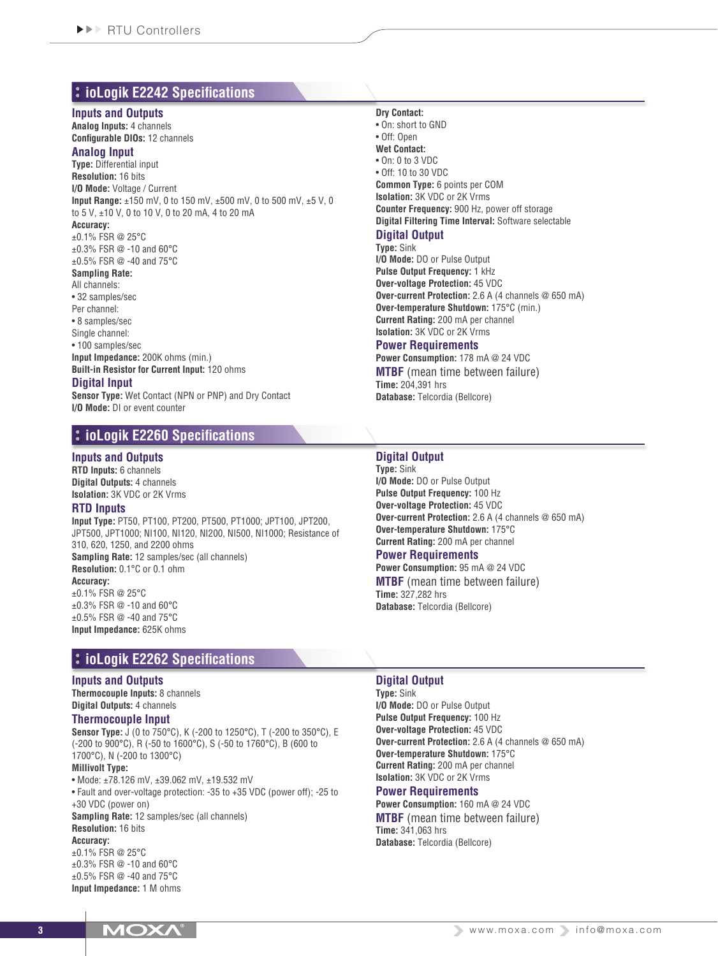## **ioLogik E2242 Specifications**

#### **Inputs and Outputs**

**Analog Inputs:** 4 channels **Configurable DIOs:** 12 channels

#### **Analog Input**

**Type:** Differential input **Resolution:** 16 bits **I/O Mode:** Voltage / Current **Input Range:** ±150 mV, 0 to 150 mV, ±500 mV, 0 to 500 mV, ±5 V, 0 to 5 V, ±10 V, 0 to 10 V, 0 to 20 mA, 4 to 20 mA **Accuracy:** ±0.1% FSR @ 25°C ±0.3% FSR @ -10 and 60°C ±0.5% FSR @ -40 and 75°C **Sampling Rate:** All channels: • 32 samples/sec

Per channel:

• 8 samples/sec

Single channel:

## • 100 samples/sec

**Input Impedance:** 200K ohms (min.) **Built-in Resistor for Current Input:** 120 ohms

#### **Digital Input**

**Sensor Type:** Wet Contact (NPN or PNP) and Dry Contact **I/O Mode:** DI or event counter

## **ioLogik E2260 Specifications**

#### **Inputs and Outputs**

**RTD Inputs:** 6 channels **Digital Outputs:** 4 channels **Isolation:** 3K VDC or 2K Vrms

#### **RTD Inputs**

**Input Type:** PT50, PT100, PT200, PT500, PT1000; JPT100, JPT200, JPT500, JPT1000; NI100, NI120, NI200, NI500, NI1000; Resistance of 310, 620, 1250, and 2200 ohms **Sampling Rate:** 12 samples/sec (all channels) **Resolution:** 0.1°C or 0.1 ohm **Accuracy:** ±0.1% FSR @ 25°C ±0.3% FSR @ -10 and 60°C

±0.5% FSR @ -40 and 75°C **Input Impedance:** 625K ohms

## **ioLogik E2262 Specifications**

#### **Inputs and Outputs**

**Thermocouple Inputs:** 8 channels **Digital Outputs:** 4 channels

#### **Thermocouple Input**

**Sensor Type:** J (0 to 750°C), K (-200 to 1250°C), T (-200 to 350°C), E (-200 to 900°C), R (-50 to 1600°C), S (-50 to 1760°C), B (600 to 1700°C), N (-200 to 1300°C) **Millivolt Type:**

• Mode: ±78.126 mV, ±39.062 mV, ±19.532 mV • Fault and over-voltage protection: -35 to +35 VDC (power off); -25 to +30 VDC (power on) **Sampling Rate:** 12 samples/sec (all channels) **Resolution:** 16 bits

#### **Accuracy:**

±0.1% FSR @ 25°C ±0.3% FSR @ -10 and 60°C ±0.5% FSR @ -40 and 75°C **Input Impedance:** 1 M ohms

#### **Dry Contact:**

• On: short to GND • Off: Open **Wet Contact:**  $\bullet$  On: 0 to 3 VDC • Off: 10 to 30 VDC **Common Type:** 6 points per COM **Isolation:** 3K VDC or 2K Vrms **Counter Frequency:** 900 Hz, power off storage **Digital Filtering Time Interval:** Software selectable **Digital Output**

**Type:** Sink

**I/O Mode:** DO or Pulse Output **Pulse Output Frequency:** 1 kHz **Over-voltage Protection:** 45 VDC **Over-current Protection:** 2.6 A (4 channels @ 650 mA) **Over-temperature Shutdown:** 175°C (min.) **Current Rating:** 200 mA per channel **Isolation:** 3K VDC or 2K Vrms

#### **Power Requirements**

**Power Consumption:** 178 mA @ 24 VDC **MTBF** (mean time between failure) **Time:** 204,391 hrs **Database:** Telcordia (Bellcore)

#### **Digital Output**

**Type:** Sink **I/O Mode:** DO or Pulse Output **Pulse Output Frequency:** 100 Hz **Over-voltage Protection:** 45 VDC **Over-current Protection:** 2.6 A (4 channels @ 650 mA) **Over-temperature Shutdown:** 175°C **Current Rating:** 200 mA per channel

## **Power Requirements**

**Power Consumption:** 95 mA @ 24 VDC **MTBF** (mean time between failure) **Time:** 327,282 hrs **Database:** Telcordia (Bellcore)

#### **Digital Output**

**Type:** Sink **I/O Mode:** DO or Pulse Output **Pulse Output Frequency:** 100 Hz **Over-voltage Protection:** 45 VDC **Over-current Protection:** 2.6 A (4 channels @ 650 mA) **Over-temperature Shutdown:** 175°C **Current Rating:** 200 mA per channel **Isolation:** 3K VDC or 2K Vrms

#### **Power Requirements**

**Power Consumption:** 160 mA @ 24 VDC **MTBF** (mean time between failure) **Time:** 341,063 hrs **Database:** Telcordia (Bellcore)